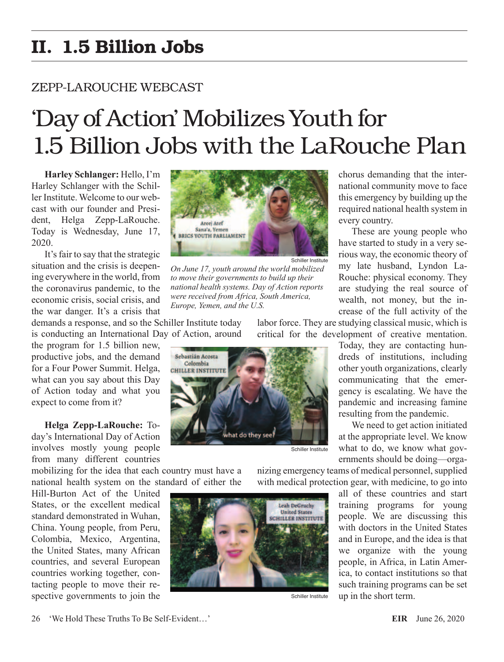## II. 1.5 Billion Jobs

## ZEPP-LAROUCHE WEBCAST

## 'Day of Action' Mobilizes Youth for 1.5 Billion Jobs with the LaRouche Plan

**Harley Schlanger:** Hello, I'm Harley Schlanger with the Schiller Institute. Welcome to our webcast with our founder and President, Helga Zepp-LaRouche. Today is Wednesday, June 17, 2020.

It's fair to say that the strategic situation and the crisis is deepening everywhere in the world, from the coronavirus pandemic, to the economic crisis, social crisis, and the war danger. It's a crisis that

demands a response, and so the Schiller Institute today is conducting an International Day of Action, around

the program for 1.5 billion new, productive jobs, and the demand for a Four Power Summit. Helga, what can you say about this Day of Action today and what you expect to come from it?

**Helga Zepp-LaRouche:** Today's International Day of Action involves mostly young people from many different countries

mobilizing for the idea that each country must have a national health system on the standard of either the

Hill-Burton Act of the United States, or the excellent medical standard demonstrated in Wuhan, China. Young people, from Peru, Colombia, Mexico, Argentina, the United States, many African countries, and several European countries working together, contacting people to move their respective governments to join the



*On June 17, youth around the world mobilized to move their governments to build up their national health systems. Day of Action reports were received from Africa, South America, Europe, Yemen, and the U.S.*

labor force. They are studying classical music, which is critical for the development of creative mentation.



Today, they are contacting hundreds of institutions, including other youth organizations, clearly communicating that the emergency is escalating. We have the pandemic and increasing famine resulting from the pandemic.

We need to get action initiated at the appropriate level. We know what to do, we know what governments should be doing—orga-

nizing emergency teams of medical personnel, supplied with medical protection gear, with medicine, to go into

> all of these countries and start training programs for young people. We are discussing this with doctors in the United States and in Europe, and the idea is that we organize with the young people, in Africa, in Latin America, to contact institutions so that such training programs can be set up in the short term.

Schiller Institute

Leah DeGruchy **United States SCHILLER INSTITUTE** 

chorus demanding that the international community move to face this emergency by building up the required national health system in every country.

These are young people who have started to study in a very serious way, the economic theory of my late husband, Lyndon La-Rouche: physical economy. They are studying the real source of wealth, not money, but the increase of the full activity of the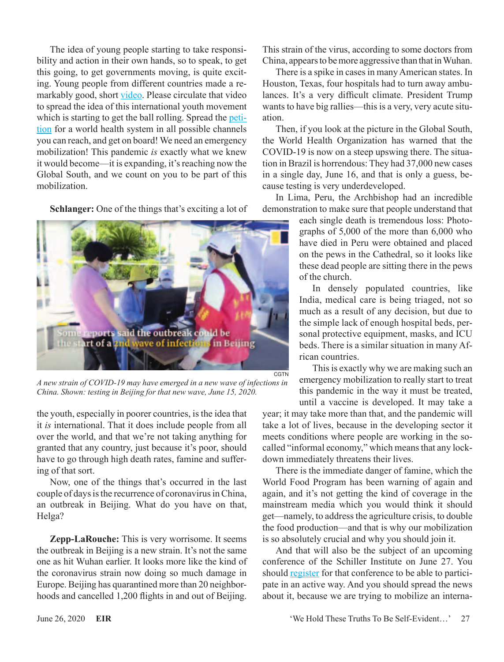The idea of young people starting to take responsibility and action in their own hands, so to speak, to get this going, to get governments moving, is quite exciting. Young people from different countries made a remarkably good, short [video](https://www.youtube.com/watch?v=ttH7L9Jb10s&feature=youtu.be). Please circulate that video to spread the idea of this international youth movement which is starting to get the ball rolling. Spread the [peti](https://schillerinstitute.nationbuilder.com/coronavirus_petition?recruiter_id=8&fbclid=IwAR1DQa14im6HjM7T2KgsVIBMZON1vpb6YWWb5pbjpIvMHyX_l1wmd_-A2bQ)[tion](https://schillerinstitute.nationbuilder.com/coronavirus_petition?recruiter_id=8&fbclid=IwAR1DQa14im6HjM7T2KgsVIBMZON1vpb6YWWb5pbjpIvMHyX_l1wmd_-A2bQ) for a world health system in all possible channels you can reach, and get on board! We need an emergency mobilization! This pandemic *is* exactly what we knew it would become—it is expanding, it's reaching now the Global South, and we count on you to be part of this mobilization.

**Schlanger:** One of the things that's exciting a lot of



*A new strain of COVID-19 may have emerged in a new wave of infections in China. Shown: testing in Beijing for that new wave, June 15, 2020.*

the youth, especially in poorer countries, is the idea that it *is* international. That it does include people from all over the world, and that we're not taking anything for granted that any country, just because it's poor, should have to go through high death rates, famine and suffering of that sort.

Now, one of the things that's occurred in the last couple of days is the recurrence of coronavirus in China, an outbreak in Beijing. What do you have on that, Helga?

**Zepp-LaRouche:** This is very worrisome. It seems the outbreak in Beijing is a new strain. It's not the same one as hit Wuhan earlier. It looks more like the kind of the coronavirus strain now doing so much damage in Europe. Beijing has quarantined more than 20 neighborhoods and cancelled 1,200 flights in and out of Beijing.

This strain of the virus, according to some doctors from China, appears to be more aggressive than that in Wuhan.

There is a spike in cases in many American states. In Houston, Texas, four hospitals had to turn away ambulances. It's a very difficult climate. President Trump wants to have big rallies—this is a very, very acute situation.

Then, if you look at the picture in the Global South, the World Health Organization has warned that the COVID-19 is now on a steep upswing there. The situation in Brazil is horrendous: They had 37,000 new cases in a single day, June 16, and that is only a guess, because testing is very underdeveloped.

In Lima, Peru, the Archbishop had an incredible demonstration to make sure that people understand that

> each single death is tremendous loss: Photographs of 5,000 of the more than 6,000 who have died in Peru were obtained and placed on the pews in the Cathedral, so it looks like these dead people are sitting there in the pews of the church.

> In densely populated countries, like India, medical care is being triaged, not so much as a result of any decision, but due to the simple lack of enough hospital beds, personal protective equipment, masks, and ICU beds. There is a similar situation in many African countries.

This is exactly why we are making such an emergency mobilization to really start to treat this pandemic in the way it must be treated, until a vaccine is developed. It may take a

year; it may take more than that, and the pandemic will take a lot of lives, because in the developing sector it meets conditions where people are working in the socalled "informal economy," which means that any lockdown immediately threatens their lives.

There is the immediate danger of famine, which the World Food Program has been warning of again and again, and it's not getting the kind of coverage in the mainstream media which you would think it should get—namely, to address the agriculture crisis, to double the food production—and that is why our mobilization is so absolutely crucial and why you should join it.

And that will also be the subject of an upcoming conference of the Schiller Institute on June 27. You should [register](https://schillerinstitute.nationbuilder.com/20200627_conference_rsvp?fbclid=IwAR1j5bjk2qdNCLdz2TJVvrBXa8Flonhacbr4tyxJvyeIVSCUEHrsw2NZRu8) for that conference to be able to participate in an active way. And you should spread the news about it, because we are trying to mobilize an interna-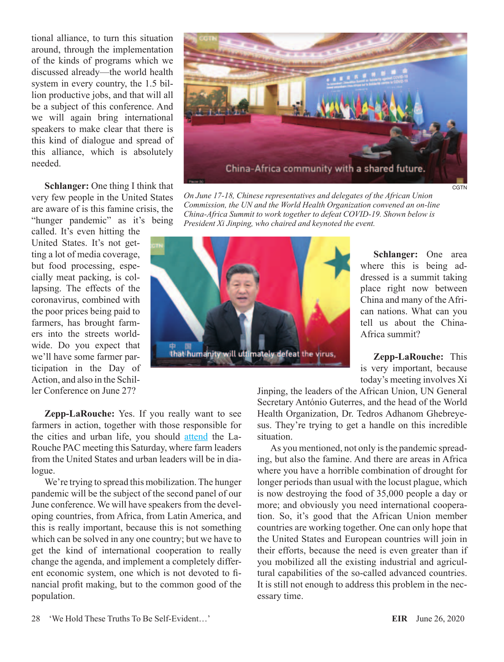tional alliance, to turn this situation around, through the implementation of the kinds of programs which we discussed already—the world health system in every country, the 1.5 billion productive jobs, and that will all be a subject of this conference. And we will again bring international speakers to make clear that there is this kind of dialogue and spread of this alliance, which is absolutely needed.

**Schlanger:** One thing I think that very few people in the United States are aware of is this famine crisis, the "hunger pandemic" as it's being

called. It's even hitting the United States. It's not getting a lot of media coverage, but food processing, especially meat packing, is collapsing. The effects of the coronavirus, combined with the poor prices being paid to farmers, has brought farmers into the streets worldwide. Do you expect that we'll have some farmer participation in the Day of Action, and also in the Schiller Conference on June 27?

China-Africa community with a shared future.

*On June 17-18, Chinese representatives and delegates of the African Union Commission, the UN and the World Health Organization convened an on-line China-Africa Summit to work together to defeat COVID-19. Shown below is President Xi Jinping, who chaired and keynoted the event.*



**Schlanger:** One area where this is being addressed is a summit taking place right now between China and many of the African nations. What can you tell us about the China-Africa summit?

**CGTN** 

**Zepp-LaRouche:** This is very important, because today's meeting involves Xi

Jinping, the leaders of the African Union, UN General Secretary António Guterres, and the head of the World Health Organization, Dr. Tedros Adhanom Ghebreyesus. They're trying to get a handle on this incredible situation.

As you mentioned, not only is the pandemic spreading, but also the famine. And there are areas in Africa where you have a horrible combination of drought for longer periods than usual with the locust plague, which is now destroying the food of 35,000 people a day or more; and obviously you need international cooperation. So, it's good that the African Union member countries are working together. One can only hope that the United States and European countries will join in their efforts, because the need is even greater than if you mobilized all the existing industrial and agricultural capabilities of the so-called advanced countries. It is still not enough to address this problem in the necessary time.

**Zepp-LaRouche:** Yes. If you really want to see farmers in action, together with those responsible for the cities and urban life, you should [attend](https://www.larouchepac.com/20200618/how-return-us-workforce-culture-production-and-scientific-progress) the La-Rouche PAC meeting this Saturday, where farm leaders from the United States and urban leaders will be in dialogue.

We're trying to spread this mobilization. The hunger pandemic will be the subject of the second panel of our June conference. We will have speakers from the developing countries, from Africa, from Latin America, and this is really important, because this is not something which can be solved in any one country; but we have to get the kind of international cooperation to really change the agenda, and implement a completely different economic system, one which is not devoted to financial profit making, but to the common good of the population.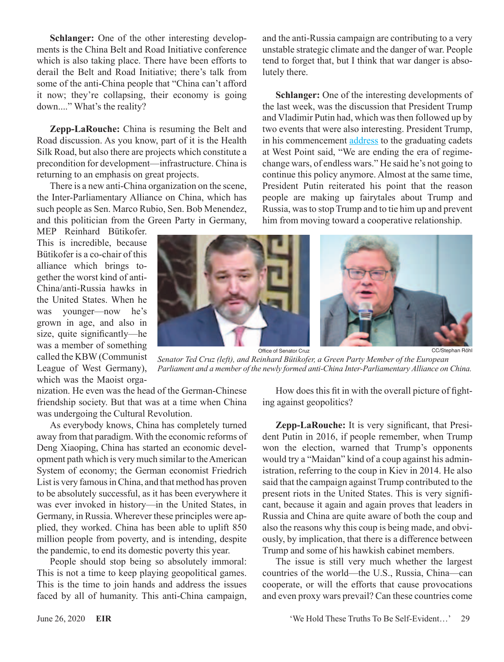**Schlanger:** One of the other interesting developments is the China Belt and Road Initiative conference which is also taking place. There have been efforts to derail the Belt and Road Initiative; there's talk from some of the anti-China people that "China can't afford it now; they're collapsing, their economy is going down...." What's the reality?

**Zepp-LaRouche:** China is resuming the Belt and Road discussion. As you know, part of it is the Health Silk Road, but also there are projects which constitute a precondition for development—infrastructure. China is returning to an emphasis on great projects.

There is a new anti-China organization on the scene, the Inter-Parliamentary Alliance on China, which has such people as Sen. Marco Rubio, Sen. Bob Menendez, and this politician from the Green Party in Germany,

MEP Reinhard Bütikofer. This is incredible, because Bütikofer is a co-chair of this alliance which brings together the worst kind of anti-China/anti-Russia hawks in the United States. When he was younger—now he's grown in age, and also in size, quite significantly—he was a member of something called the KBW (Communist League of West Germany), which was the Maoist orga-

CC/Stephan Röhl

lutely there.

Office of Senator Cruz *Senator Ted Cruz (left), and Reinhard Bütikofer, a Green Party Member of the European* 

nization. He even was the head of the German-Chinese friendship society. But that was at a time when China was undergoing the Cultural Revolution.

As everybody knows, China has completely turned away from that paradigm. With the economic reforms of Deng Xiaoping, China has started an economic development path which is very much similar to the American System of economy; the German economist Friedrich List is very famous in China, and that method has proven to be absolutely successful, as it has been everywhere it was ever invoked in history—in the United States, in Germany, in Russia. Wherever these principles were applied, they worked. China has been able to uplift 850 million people from poverty, and is intending, despite the pandemic, to end its domestic poverty this year.

People should stop being so absolutely immoral: This is not a time to keep playing geopolitical games. This is the time to join hands and address the issues faced by all of humanity. This anti-China campaign,

*Parliament and a member of the newly formed anti-China Inter-Parliamentary Alliance on China.*

How does this fit in with the overall picture of fighting against geopolitics?

and the anti-Russia campaign are contributing to a very unstable strategic climate and the danger of war. People tend to forget that, but I think that war danger is abso-

**Schlanger:** One of the interesting developments of the last week, was the discussion that President Trump and Vladimir Putin had, which was then followed up by two events that were also interesting. President Trump, in his commencement [address](https://www.whitehouse.gov/briefings-statements/remarks-president-trump-2020-united-states-military-academy-west-point-graduation-ceremony/) to the graduating cadets at West Point said, "We are ending the era of regimechange wars, of endless wars." He said he's not going to continue this policy anymore. Almost at the same time, President Putin reiterated his point that the reason people are making up fairytales about Trump and Russia, was to stop Trump and to tie him up and prevent him from moving toward a cooperative relationship.

**Zepp-LaRouche:** It is very significant, that President Putin in 2016, if people remember, when Trump won the election, warned that Trump's opponents would try a "Maidan" kind of a coup against his administration, referring to the coup in Kiev in 2014. He also said that the campaign against Trump contributed to the present riots in the United States. This is very significant, because it again and again proves that leaders in Russia and China are quite aware of both the coup and also the reasons why this coup is being made, and obviously, by implication, that there is a difference between Trump and some of his hawkish cabinet members.

The issue is still very much whether the largest countries of the world—the U.S., Russia, China—can cooperate, or will the efforts that cause provocations and even proxy wars prevail? Can these countries come

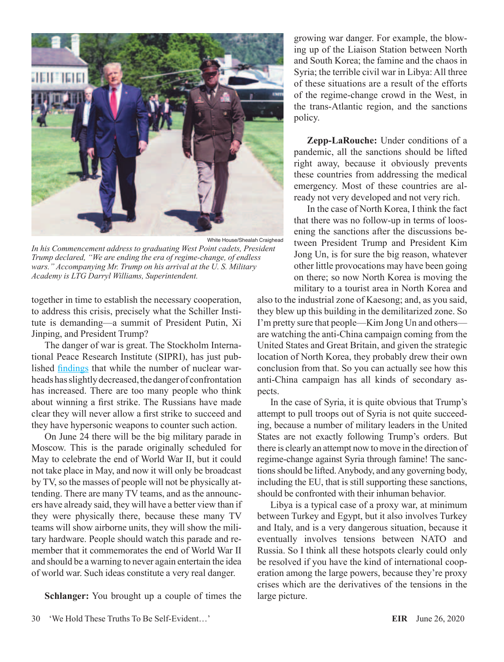

*In his Commencement address to graduating West Point cadets, President Trump declared, "We are ending the era of regime-change, of endless wars." Accompanying Mr. Trump on his arrival at the U. S. Military Academy is LTG Darryl Williams, Superintendent.*

together in time to establish the necessary cooperation, to address this crisis, precisely what the Schiller Institute is demanding—a summit of President Putin, Xi Jinping, and President Trump?

The danger of war is great. The Stockholm International Peace Research Institute (SIPRI), has just published [findings](https://www.sipri.org/media/press-release/2020/nuclear-weapon-modernization-continues-outlook-arms-control-bleak-new-sipri-yearbook-out-now) that while the number of nuclear warheads has slightly decreased, the danger of confrontation has increased. There are too many people who think about winning a first strike. The Russians have made clear they will never allow a first strike to succeed and they have hypersonic weapons to counter such action.

On June 24 there will be the big military parade in Moscow. This is the parade originally scheduled for May to celebrate the end of World War II, but it could not take place in May, and now it will only be broadcast by TV, so the masses of people will not be physically attending. There are many TV teams, and as the announcers have already said, they will have a better view than if they were physically there, because these many TV teams will show airborne units, they will show the military hardware. People should watch this parade and remember that it commemorates the end of World War II and should be a warning to never again entertain the idea of world war. Such ideas constitute a very real danger.

**Schlanger:** You brought up a couple of times the

growing war danger. For example, the blowing up of the Liaison Station between North and South Korea; the famine and the chaos in Syria; the terrible civil war in Libya: All three of these situations are a result of the efforts of the regime-change crowd in the West, in the trans-Atlantic region, and the sanctions policy.

**Zepp-LaRouche:** Under conditions of a pandemic, all the sanctions should be lifted right away, because it obviously prevents these countries from addressing the medical emergency. Most of these countries are already not very developed and not very rich.

In the case of North Korea, I think the fact that there was no follow-up in terms of loosening the sanctions after the discussions between President Trump and President Kim Jong Un, is for sure the big reason, whatever other little provocations may have been going on there; so now North Korea is moving the military to a tourist area in North Korea and

also to the industrial zone of Kaesong; and, as you said, they blew up this building in the demilitarized zone. So I'm pretty sure that people—Kim Jong Un and others are watching the anti-China campaign coming from the United States and Great Britain, and given the strategic location of North Korea, they probably drew their own conclusion from that. So you can actually see how this anti-China campaign has all kinds of secondary aspects.

In the case of Syria, it is quite obvious that Trump's attempt to pull troops out of Syria is not quite succeeding, because a number of military leaders in the United States are not exactly following Trump's orders. But there is clearly an attempt now to move in the direction of regime-change against Syria through famine! The sanctions should be lifted. Anybody, and any governing body, including the EU, that is still supporting these sanctions, should be confronted with their inhuman behavior.

Libya is a typical case of a proxy war, at minimum between Turkey and Egypt, but it also involves Turkey and Italy, and is a very dangerous situation, because it eventually involves tensions between NATO and Russia. So I think all these hotspots clearly could only be resolved if you have the kind of international cooperation among the large powers, because they're proxy crises which are the derivatives of the tensions in the large picture.